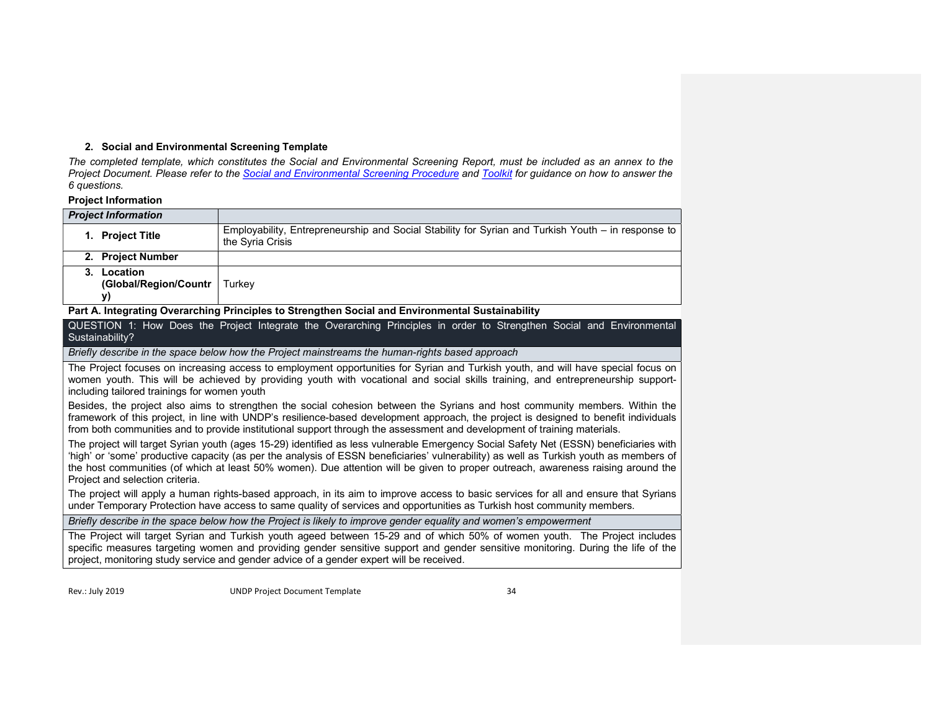# 2. Social and Environmental Screening Template

The completed template, which constitutes the Social and Environmental Screening Report, must be included as an annex to the Project Document. Please refer to the Social and Environmental Screening Procedure and Toolkit for quidance on how to answer the 6 questions.

# Project Information

| <b>Project Information</b>              |                                                                                                                        |
|-----------------------------------------|------------------------------------------------------------------------------------------------------------------------|
| <b>Project Title</b><br>1.              | Employability, Entrepreneurship and Social Stability for Syrian and Turkish Youth – in response to<br>the Syria Crisis |
| 2. Project Number                       |                                                                                                                        |
| Location<br>(Global/Region/Countr<br>V) | Turkey                                                                                                                 |

# Part A. Integrating Overarching Principles to Strengthen Social and Environmental Sustainability

QUESTION 1: How Does the Project Integrate the Overarching Principles in order to Strengthen Social and Environmental Sustainability?

Briefly describe in the space below how the Project mainstreams the human-rights based approach

The Project focuses on increasing access to employment opportunities for Syrian and Turkish youth, and will have special focus on women youth. This will be achieved by providing youth with vocational and social skills training, and entrepreneurship supportincluding tailored trainings for women youth

Besides, the project also aims to strengthen the social cohesion between the Syrians and host community members. Within the framework of this project, in line with UNDP's resilience-based development approach, the project is designed to benefit individuals from both communities and to provide institutional support through the assessment and development of training materials.

The project will target Syrian youth (ages 15-29) identified as less vulnerable Emergency Social Safety Net (ESSN) beneficiaries with 'high' or 'some' productive capacity (as per the analysis of ESSN beneficiaries' vulnerability) as well as Turkish youth as members of the host communities (of which at least 50% women). Due attention will be given to proper outreach, awareness raising around the Project and selection criteria.

The project will apply a human rights-based approach, in its aim to improve access to basic services for all and ensure that Syrians under Temporary Protection have access to same quality of services and opportunities as Turkish host community members.

Briefly describe in the space below how the Project is likely to improve gender equality and women's empowerment

The Project will target Syrian and Turkish youth ageed between 15-29 and of which 50% of women youth. The Project includes specific measures targeting women and providing gender sensitive support and gender sensitive monitoring. During the life of the project, monitoring study service and gender advice of a gender expert will be received.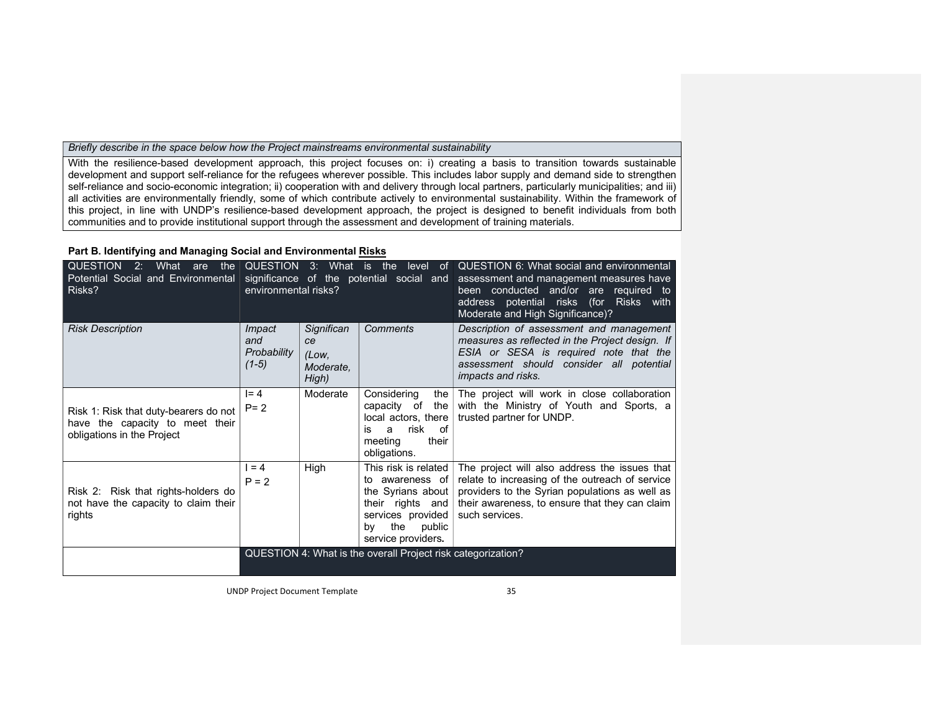# Briefly describe in the space below how the Project mainstreams environmental sustainability

With the resilience-based development approach, this project focuses on: i) creating a basis to transition towards sustainable development and support self-reliance for the refugees wherever possible. This includes labor supply and demand side to strengthen self-reliance and socio-economic integration; ii) cooperation with and delivery through local partners, particularly municipalities; and iii) all activities are environmentally friendly, some of which contribute actively to environmental sustainability. Within the framework of this project, in line with UNDP's resilience-based development approach, the project is designed to benefit individuals from both communities and to provide institutional support through the assessment and development of training materials.

# Part B. Identifying and Managing Social and Environmental Risks

| <b>QUESTION</b><br>What<br>2:<br>the<br>are<br>Potential Social and Environmental<br>Risks?            | environmental risks?                           | QUESTION 3: What is                             | the<br>level<br>of.<br>significance of the potential social and                                                                                        | QUESTION 6: What social and environmental<br>assessment and management measures have<br>been conducted and/or are required to<br>address potential risks (for Risks with<br>Moderate and High Significance)?           |
|--------------------------------------------------------------------------------------------------------|------------------------------------------------|-------------------------------------------------|--------------------------------------------------------------------------------------------------------------------------------------------------------|------------------------------------------------------------------------------------------------------------------------------------------------------------------------------------------------------------------------|
| <b>Risk Description</b>                                                                                | <i>Impact</i><br>and<br>Probability<br>$(1-5)$ | Significan<br>ce<br>(Low,<br>Moderate.<br>High) | Comments                                                                                                                                               | Description of assessment and management<br>measures as reflected in the Project design. If<br>ESIA or SESA is required note that the<br>assessment should consider all potential<br><i>impacts and risks.</i>         |
| Risk 1: Risk that duty-bearers do not<br>have the capacity to meet their<br>obligations in the Project | $I = 4$<br>$P = 2$                             | Moderate                                        | Considering<br>the<br>capacity of<br>the I<br>local actors, there<br>risk of<br>is<br>a<br>their<br>meeting<br>obligations.                            | The project will work in close collaboration<br>with the Ministry of Youth and Sports, a<br>trusted partner for UNDP.                                                                                                  |
| Risk 2: Risk that rights-holders do<br>not have the capacity to claim their<br>rights                  | $= 4$<br>$P = 2$                               | High                                            | This risk is related<br>to awareness of<br>the Syrians about $ $<br>their rights and<br>services provided<br>the<br>public<br>bv<br>service providers. | The project will also address the issues that<br>relate to increasing of the outreach of service<br>providers to the Syrian populations as well as<br>their awareness, to ensure that they can claim<br>such services. |
|                                                                                                        |                                                |                                                 | QUESTION 4: What is the overall Project risk categorization?                                                                                           |                                                                                                                                                                                                                        |

UNDP Project Document Template 35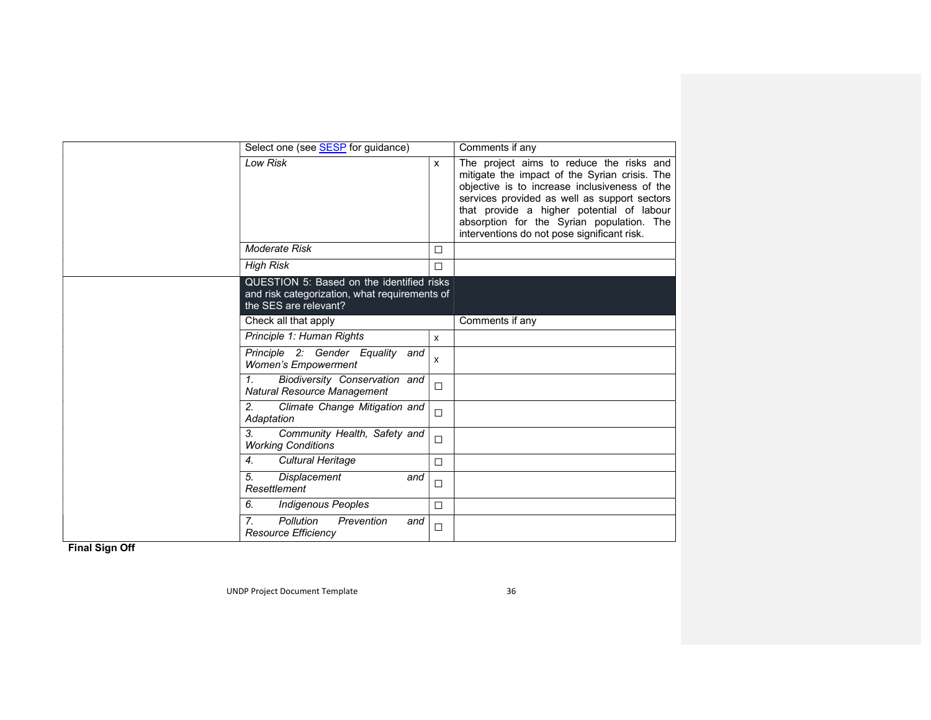| Select one (see SESP for guidance)                                                                                  | Comments if any |                                                                                                                                                                                                                                                                                                                                     |
|---------------------------------------------------------------------------------------------------------------------|-----------------|-------------------------------------------------------------------------------------------------------------------------------------------------------------------------------------------------------------------------------------------------------------------------------------------------------------------------------------|
| <b>Low Risk</b>                                                                                                     | $\mathsf{x}$    | The project aims to reduce the risks and<br>mitigate the impact of the Syrian crisis. The<br>objective is to increase inclusiveness of the<br>services provided as well as support sectors<br>that provide a higher potential of labour<br>absorption for the Syrian population. The<br>interventions do not pose significant risk. |
| Moderate Risk                                                                                                       | □               |                                                                                                                                                                                                                                                                                                                                     |
| <b>High Risk</b>                                                                                                    | $\Box$          |                                                                                                                                                                                                                                                                                                                                     |
| QUESTION 5: Based on the identified risks<br>and risk categorization, what requirements of<br>the SES are relevant? |                 |                                                                                                                                                                                                                                                                                                                                     |
| Check all that apply                                                                                                | Comments if any |                                                                                                                                                                                                                                                                                                                                     |
| Principle 1: Human Rights                                                                                           | X               |                                                                                                                                                                                                                                                                                                                                     |
| Principle 2: Gender Equality<br>and<br><b>Women's Empowerment</b>                                                   | X               |                                                                                                                                                                                                                                                                                                                                     |
| $\mathbf{1}$<br>Biodiversity Conservation and<br><b>Natural Resource Management</b>                                 | $\Box$          |                                                                                                                                                                                                                                                                                                                                     |
| 2.<br>Climate Change Mitigation and<br>Adaptation                                                                   | $\Box$          |                                                                                                                                                                                                                                                                                                                                     |
| 3 <sub>1</sub><br>Community Health, Safety and<br><b>Working Conditions</b>                                         | $\Box$          |                                                                                                                                                                                                                                                                                                                                     |
| 4.<br><b>Cultural Heritage</b>                                                                                      | $\Box$          |                                                                                                                                                                                                                                                                                                                                     |
| 5.<br><b>Displacement</b><br>and<br>Resettlement                                                                    | $\Box$          |                                                                                                                                                                                                                                                                                                                                     |
| 6.<br><b>Indigenous Peoples</b>                                                                                     | $\Box$          |                                                                                                                                                                                                                                                                                                                                     |
| 7 <sub>1</sub><br>Pollution<br>Prevention<br>and<br><b>Resource Efficiency</b>                                      | $\Box$          |                                                                                                                                                                                                                                                                                                                                     |

Final Sign Off

UNDP Project Document Template 36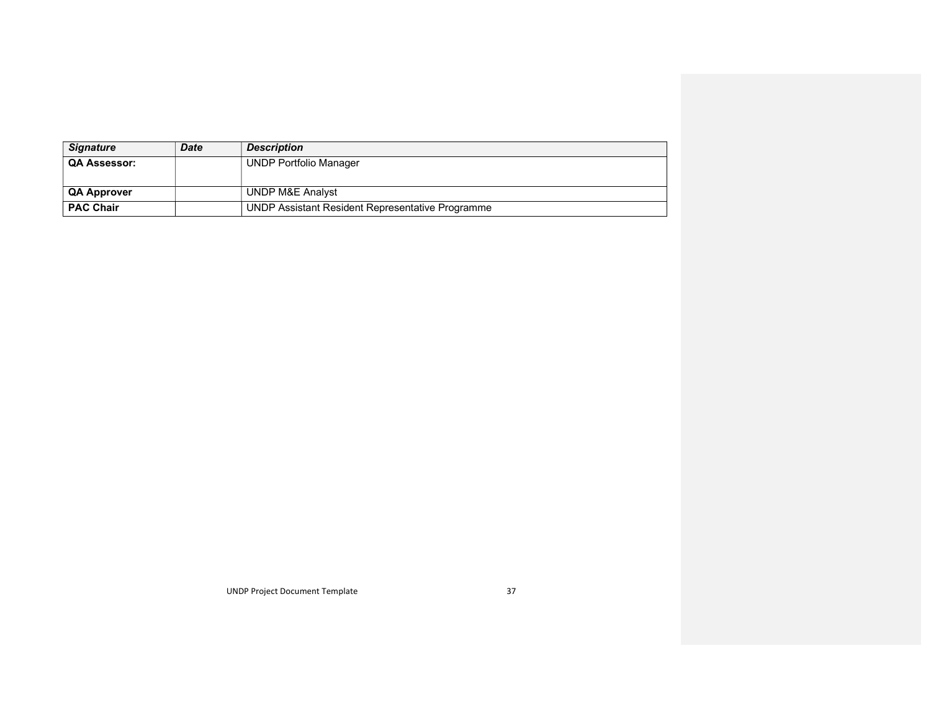| <b>Signature</b>    | <b>Date</b> | <b>Description</b>                               |
|---------------------|-------------|--------------------------------------------------|
| <b>QA Assessor:</b> |             | <b>UNDP Portfolio Manager</b>                    |
|                     |             |                                                  |
| <b>QA Approver</b>  |             | UNDP M&E Analyst                                 |
| <b>PAC Chair</b>    |             | UNDP Assistant Resident Representative Programme |

UNDP Project Document Template 37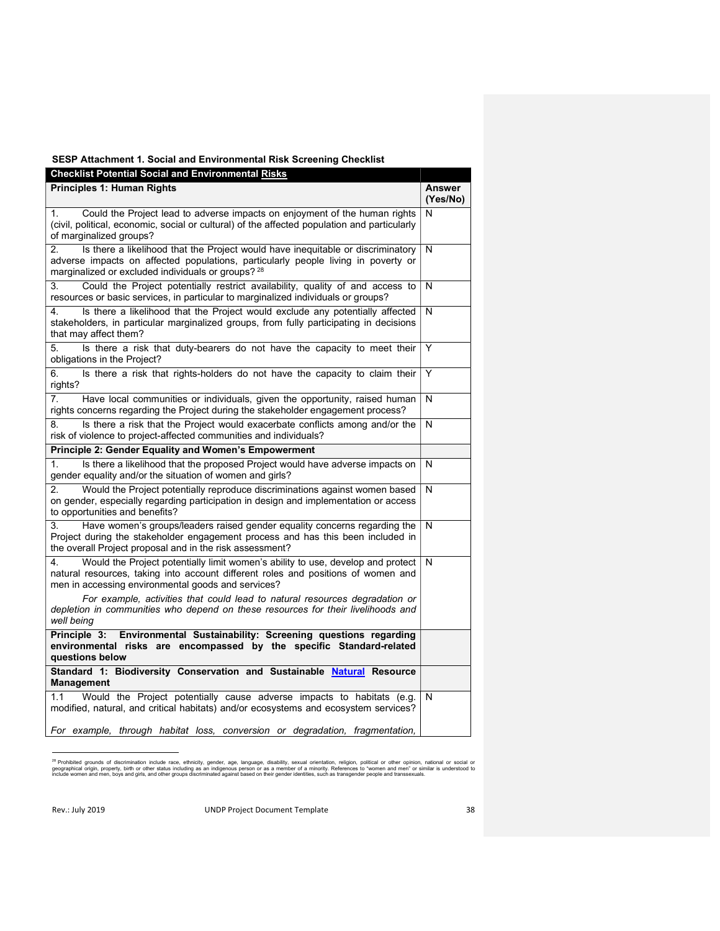# SESP Attachment 1. Social and Environmental Risk Screening Checklist

| <b>Checklist Potential Social and Environmental Risks</b>                                                                                                                                                                        |                           |
|----------------------------------------------------------------------------------------------------------------------------------------------------------------------------------------------------------------------------------|---------------------------|
| <b>Principles 1: Human Rights</b>                                                                                                                                                                                                | <b>Answer</b><br>(Yes/No) |
| Could the Project lead to adverse impacts on enjoyment of the human rights<br>1.<br>(civil, political, economic, social or cultural) of the affected population and particularly<br>of marginalized groups?                      | N                         |
| Is there a likelihood that the Project would have inequitable or discriminatory<br>2.<br>adverse impacts on affected populations, particularly people living in poverty or<br>marginalized or excluded individuals or groups? 28 | N                         |
| Could the Project potentially restrict availability, quality of and access to<br>3.<br>resources or basic services, in particular to marginalized individuals or groups?                                                         | N                         |
| Is there a likelihood that the Project would exclude any potentially affected<br>4.<br>stakeholders, in particular marginalized groups, from fully participating in decisions<br>that may affect them?                           | N                         |
| Is there a risk that duty-bearers do not have the capacity to meet their<br>5.<br>obligations in the Project?                                                                                                                    | Y                         |
| Is there a risk that rights-holders do not have the capacity to claim their<br>6.<br>rights?                                                                                                                                     | Y                         |
| 7 <sub>1</sub><br>Have local communities or individuals, given the opportunity, raised human<br>rights concerns regarding the Project during the stakeholder engagement process?                                                 | N                         |
| Is there a risk that the Project would exacerbate conflicts among and/or the<br>8.<br>risk of violence to project-affected communities and individuals?                                                                          | N                         |
| Principle 2: Gender Equality and Women's Empowerment                                                                                                                                                                             |                           |
| 1.<br>Is there a likelihood that the proposed Project would have adverse impacts on<br>gender equality and/or the situation of women and girls?                                                                                  | N                         |
| 2.<br>Would the Project potentially reproduce discriminations against women based<br>on gender, especially regarding participation in design and implementation or access<br>to opportunities and benefits?                      | N                         |
| Have women's groups/leaders raised gender equality concerns regarding the<br>3.<br>Project during the stakeholder engagement process and has this been included in<br>the overall Project proposal and in the risk assessment?   | N                         |
| Would the Project potentially limit women's ability to use, develop and protect<br>4.<br>natural resources, taking into account different roles and positions of women and<br>men in accessing environmental goods and services? | N                         |
| For example, activities that could lead to natural resources degradation or<br>depletion in communities who depend on these resources for their livelihoods and<br>well being                                                    |                           |
| Principle 3:<br>Environmental Sustainability: Screening questions regarding<br>environmental risks are encompassed by the specific Standard-related<br>questions below                                                           |                           |
| Standard 1: Biodiversity Conservation and Sustainable Natural Resource<br><b>Management</b>                                                                                                                                      |                           |
| 1.1<br>Would the Project potentially cause adverse impacts to habitats (e.g.<br>modified, natural, and critical habitats) and/or ecosystems and ecosystem services?                                                              | N                         |
| For example, through habitat loss, conversion or degradation, fragmentation,                                                                                                                                                     |                           |

<sup>&</sup>lt;sup>28</sup> Prohibited grounds of discrimination include race, ethnicity, gender, age, language, disability, sexual orientation, religion, political or other opinion, national or social or<br>geographical origin, property, birth or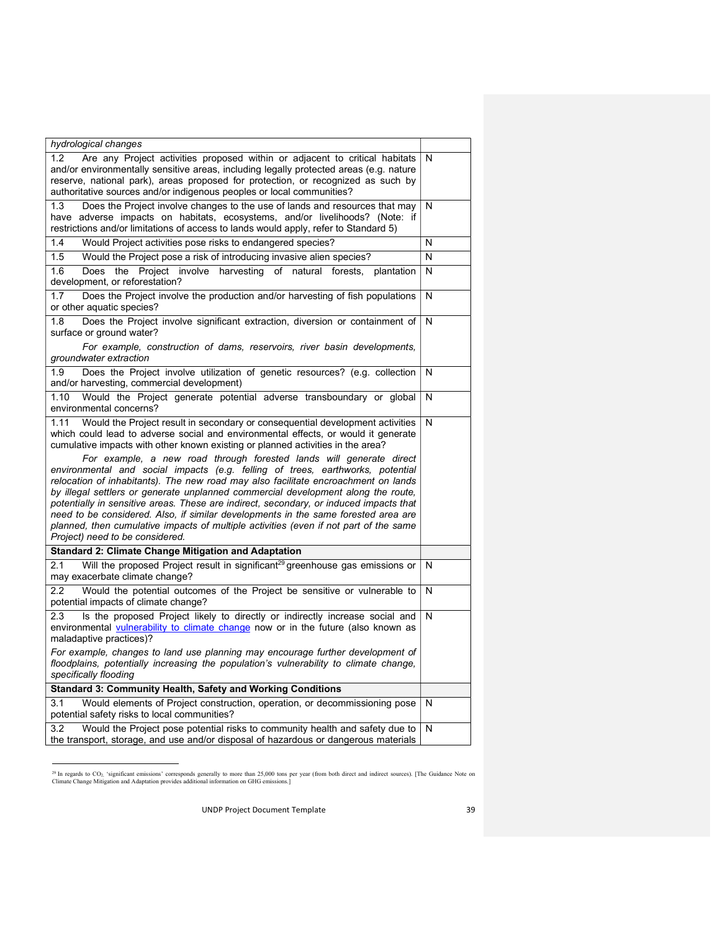| hydrological changes                                                                                                                                                                                                                                                                                                                                                                                                                                                                                                                                                                                                                                                                                                                                                                                                                                                                                           |   |
|----------------------------------------------------------------------------------------------------------------------------------------------------------------------------------------------------------------------------------------------------------------------------------------------------------------------------------------------------------------------------------------------------------------------------------------------------------------------------------------------------------------------------------------------------------------------------------------------------------------------------------------------------------------------------------------------------------------------------------------------------------------------------------------------------------------------------------------------------------------------------------------------------------------|---|
| Are any Project activities proposed within or adjacent to critical habitats<br>1.2<br>and/or environmentally sensitive areas, including legally protected areas (e.g. nature<br>reserve, national park), areas proposed for protection, or recognized as such by<br>authoritative sources and/or indigenous peoples or local communities?                                                                                                                                                                                                                                                                                                                                                                                                                                                                                                                                                                      | N |
| 1.3<br>Does the Project involve changes to the use of lands and resources that may<br>have adverse impacts on habitats, ecosystems, and/or livelihoods? (Note: if<br>restrictions and/or limitations of access to lands would apply, refer to Standard 5)                                                                                                                                                                                                                                                                                                                                                                                                                                                                                                                                                                                                                                                      | N |
| 1.4<br>Would Project activities pose risks to endangered species?                                                                                                                                                                                                                                                                                                                                                                                                                                                                                                                                                                                                                                                                                                                                                                                                                                              | N |
| 1.5<br>Would the Project pose a risk of introducing invasive alien species?                                                                                                                                                                                                                                                                                                                                                                                                                                                                                                                                                                                                                                                                                                                                                                                                                                    | N |
| 1.6<br>Does<br>Project involve harvesting of natural forests,<br>the<br>plantation<br>development, or reforestation?                                                                                                                                                                                                                                                                                                                                                                                                                                                                                                                                                                                                                                                                                                                                                                                           | N |
| 1.7<br>Does the Project involve the production and/or harvesting of fish populations<br>or other aquatic species?                                                                                                                                                                                                                                                                                                                                                                                                                                                                                                                                                                                                                                                                                                                                                                                              | N |
| Does the Project involve significant extraction, diversion or containment of<br>1.8<br>surface or ground water?                                                                                                                                                                                                                                                                                                                                                                                                                                                                                                                                                                                                                                                                                                                                                                                                | N |
| For example, construction of dams, reservoirs, river basin developments,<br>groundwater extraction                                                                                                                                                                                                                                                                                                                                                                                                                                                                                                                                                                                                                                                                                                                                                                                                             |   |
| Does the Project involve utilization of genetic resources? (e.g. collection<br>1.9<br>and/or harvesting, commercial development)                                                                                                                                                                                                                                                                                                                                                                                                                                                                                                                                                                                                                                                                                                                                                                               | N |
| Would the Project generate potential adverse transboundary or global<br>1.10<br>environmental concerns?                                                                                                                                                                                                                                                                                                                                                                                                                                                                                                                                                                                                                                                                                                                                                                                                        | N |
| Would the Project result in secondary or consequential development activities<br>1.11<br>which could lead to adverse social and environmental effects, or would it generate<br>cumulative impacts with other known existing or planned activities in the area?<br>For example, a new road through forested lands will generate direct<br>environmental and social impacts (e.g. felling of trees, earthworks, potential<br>relocation of inhabitants). The new road may also facilitate encroachment on lands<br>by illegal settlers or generate unplanned commercial development along the route,<br>potentially in sensitive areas. These are indirect, secondary, or induced impacts that<br>need to be considered. Also, if similar developments in the same forested area are<br>planned, then cumulative impacts of multiple activities (even if not part of the same<br>Project) need to be considered. | N |
| <b>Standard 2: Climate Change Mitigation and Adaptation</b>                                                                                                                                                                                                                                                                                                                                                                                                                                                                                                                                                                                                                                                                                                                                                                                                                                                    |   |
| Will the proposed Project result in significant <sup>29</sup> greenhouse gas emissions or<br>2.1<br>may exacerbate climate change?                                                                                                                                                                                                                                                                                                                                                                                                                                                                                                                                                                                                                                                                                                                                                                             | N |
| Would the potential outcomes of the Project be sensitive or vulnerable to<br>$2.2\phantom{0}$<br>potential impacts of climate change?                                                                                                                                                                                                                                                                                                                                                                                                                                                                                                                                                                                                                                                                                                                                                                          | N |
| 2.3<br>Is the proposed Project likely to directly or indirectly increase social and<br>environmental vulnerability to climate change now or in the future (also known as<br>maladaptive practices)?<br>For example, changes to land use planning may encourage further development of                                                                                                                                                                                                                                                                                                                                                                                                                                                                                                                                                                                                                          | N |
| floodplains, potentially increasing the population's vulnerability to climate change,<br>specifically flooding                                                                                                                                                                                                                                                                                                                                                                                                                                                                                                                                                                                                                                                                                                                                                                                                 |   |
| <b>Standard 3: Community Health, Safety and Working Conditions</b>                                                                                                                                                                                                                                                                                                                                                                                                                                                                                                                                                                                                                                                                                                                                                                                                                                             |   |
| Would elements of Project construction, operation, or decommissioning pose<br>3.1<br>potential safety risks to local communities?                                                                                                                                                                                                                                                                                                                                                                                                                                                                                                                                                                                                                                                                                                                                                                              | N |
| 3.2<br>Would the Project pose potential risks to community health and safety due to<br>the transport, storage, and use and/or disposal of hazardous or dangerous materials                                                                                                                                                                                                                                                                                                                                                                                                                                                                                                                                                                                                                                                                                                                                     | N |

<sup>&</sup>lt;sup>29</sup> In regards to CO<sub>2,</sub> 'significant emissions' corresponds generally to more than 25,000 tons per year (from both direct and indirect sources). [The Guidance Note on<br>Climate Change Mitigation and Adaptation provides add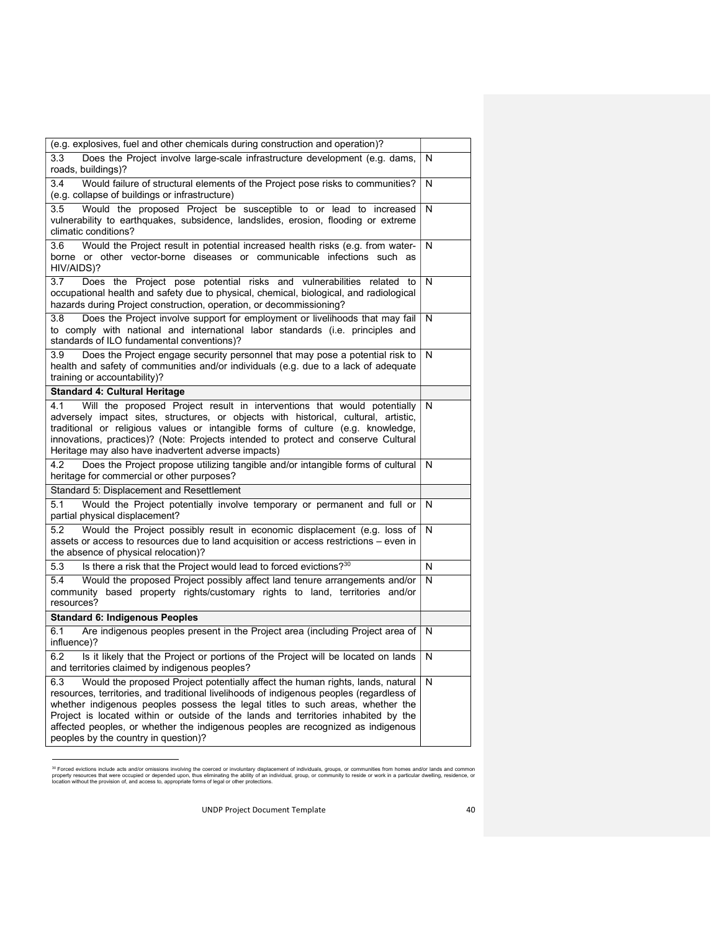| (e.g. explosives, fuel and other chemicals during construction and operation)?                                                                                                                                                                                                                                                                                                                                                                                                        |   |
|---------------------------------------------------------------------------------------------------------------------------------------------------------------------------------------------------------------------------------------------------------------------------------------------------------------------------------------------------------------------------------------------------------------------------------------------------------------------------------------|---|
| 3.3<br>Does the Project involve large-scale infrastructure development (e.g. dams,<br>roads, buildings)?                                                                                                                                                                                                                                                                                                                                                                              | N |
| 3.4<br>Would failure of structural elements of the Project pose risks to communities?                                                                                                                                                                                                                                                                                                                                                                                                 | N |
| (e.g. collapse of buildings or infrastructure)                                                                                                                                                                                                                                                                                                                                                                                                                                        |   |
| Would the proposed Project be susceptible to or lead to increased<br>3.5<br>vulnerability to earthquakes, subsidence, landslides, erosion, flooding or extreme<br>climatic conditions?                                                                                                                                                                                                                                                                                                | N |
| Would the Project result in potential increased health risks (e.g. from water-<br>3.6<br>borne or other vector-borne diseases or communicable infections such as<br>HIV/AIDS)?                                                                                                                                                                                                                                                                                                        | N |
| 3.7<br>Does the Project pose potential risks and vulnerabilities related to<br>occupational health and safety due to physical, chemical, biological, and radiological<br>hazards during Project construction, operation, or decommissioning?                                                                                                                                                                                                                                          | N |
| 3.8<br>Does the Project involve support for employment or livelihoods that may fail<br>to comply with national and international labor standards (i.e. principles and<br>standards of ILO fundamental conventions)?                                                                                                                                                                                                                                                                   | N |
| Does the Project engage security personnel that may pose a potential risk to<br>3.9<br>health and safety of communities and/or individuals (e.g. due to a lack of adequate<br>training or accountability)?                                                                                                                                                                                                                                                                            | N |
| <b>Standard 4: Cultural Heritage</b>                                                                                                                                                                                                                                                                                                                                                                                                                                                  |   |
| Will the proposed Project result in interventions that would potentially<br>4.1<br>adversely impact sites, structures, or objects with historical, cultural, artistic,<br>traditional or religious values or intangible forms of culture (e.g. knowledge,<br>innovations, practices)? (Note: Projects intended to protect and conserve Cultural<br>Heritage may also have inadvertent adverse impacts)                                                                                | N |
| 4.2<br>Does the Project propose utilizing tangible and/or intangible forms of cultural<br>heritage for commercial or other purposes?                                                                                                                                                                                                                                                                                                                                                  | N |
| Standard 5: Displacement and Resettlement                                                                                                                                                                                                                                                                                                                                                                                                                                             |   |
| Would the Project potentially involve temporary or permanent and full or<br>5.1<br>partial physical displacement?                                                                                                                                                                                                                                                                                                                                                                     | N |
| 5.2<br>Would the Project possibly result in economic displacement (e.g. loss of<br>assets or access to resources due to land acquisition or access restrictions - even in<br>the absence of physical relocation)?                                                                                                                                                                                                                                                                     | N |
| Is there a risk that the Project would lead to forced evictions? <sup>30</sup><br>5.3                                                                                                                                                                                                                                                                                                                                                                                                 | N |
| Would the proposed Project possibly affect land tenure arrangements and/or<br>5.4<br>community based property rights/customary rights to land, territories and/or<br>resources?                                                                                                                                                                                                                                                                                                       | N |
| <b>Standard 6: Indigenous Peoples</b>                                                                                                                                                                                                                                                                                                                                                                                                                                                 |   |
| Are indigenous peoples present in the Project area (including Project area of<br>6.1<br>influence)?                                                                                                                                                                                                                                                                                                                                                                                   | N |
| 6.2<br>Is it likely that the Project or portions of the Project will be located on lands<br>and territories claimed by indigenous peoples?                                                                                                                                                                                                                                                                                                                                            | N |
| 6.3<br>Would the proposed Project potentially affect the human rights, lands, natural<br>resources, territories, and traditional livelihoods of indigenous peoples (regardless of<br>whether indigenous peoples possess the legal titles to such areas, whether the<br>Project is located within or outside of the lands and territories inhabited by the<br>affected peoples, or whether the indigenous peoples are recognized as indigenous<br>peoples by the country in question)? | N |

<sup>&</sup>lt;sup>30</sup> Forced evictions include acts and/or omissions involving the coerced or involuntary displacement of individuals, groups, or communities from homes and/or lands and common<br>property resources that were occupied or depen